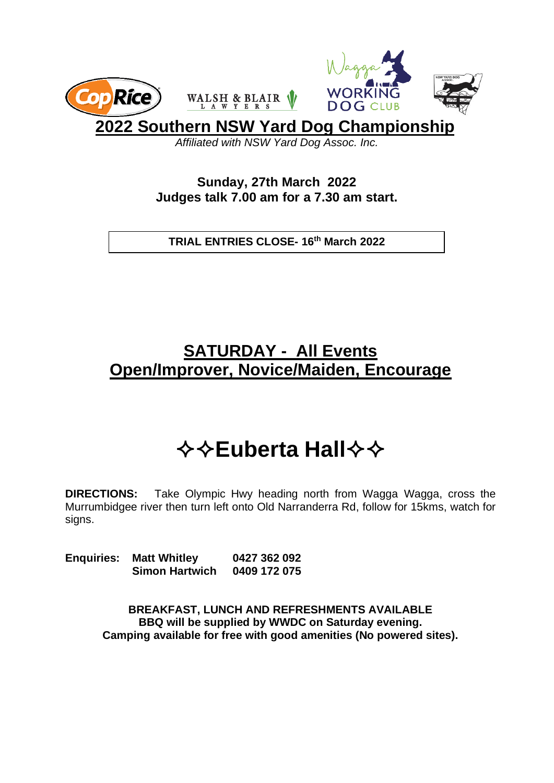

**2022 Southern NSW Yard Dog Championship**

*Affiliated with NSW Yard Dog Assoc. Inc.*

**Sunday, 27th March 2022 Judges talk 7.00 am for a 7.30 am start.**

**TRIAL ENTRIES CLOSE- 16th March 2022**

## **SATURDAY - All Events Open/Improver, Novice/Maiden, Encourage**

## $\diamond$  $\diamond$  **Euberta Hall**  $\diamond$   $\diamond$

**DIRECTIONS:** Take Olympic Hwy heading north from Wagga Wagga, cross the Murrumbidgee river then turn left onto Old Narranderra Rd, follow for 15kms, watch for signs.

**Enquiries: Matt Whitley 0427 362 092 Simon Hartwich 0409 172 075**

> **BREAKFAST, LUNCH AND REFRESHMENTS AVAILABLE BBQ will be supplied by WWDC on Saturday evening. Camping available for free with good amenities (No powered sites).**